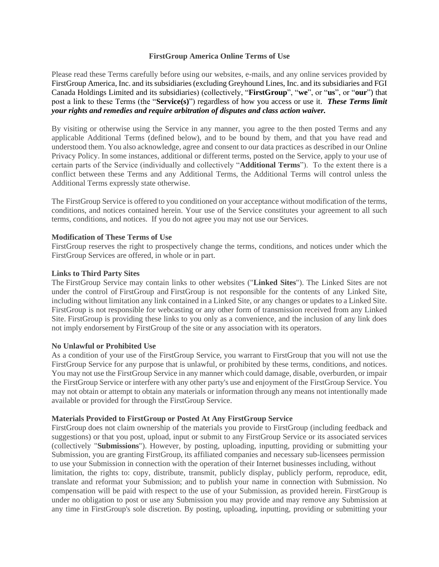## **FirstGroup America Online Terms of Use**

Please read these Terms carefully before using our websites, e-mails, and any online services provided by FirstGroup America, Inc. and its subsidiaries (excluding Greyhound Lines, Inc. and its subsidiaries and FGI Canada Holdings Limited and its subsidiaries) (collectively, "**FirstGroup**", "**we**", or "**us**", or "**our**") that post a link to these Terms (the "**Service(s)**") regardless of how you access or use it. *These Terms limit your rights and remedies and require arbitration of disputes and class action waiver.*

By visiting or otherwise using the Service in any manner, you agree to the then posted Terms and any applicable Additional Terms (defined below), and to be bound by them, and that you have read and understood them. You also acknowledge, agree and consent to our data practices as described in our Online Privacy Policy. In some instances, additional or different terms, posted on the Service, apply to your use of certain parts of the Service (individually and collectively "**Additional Terms**"). To the extent there is a conflict between these Terms and any Additional Terms, the Additional Terms will control unless the Additional Terms expressly state otherwise.

The FirstGroup Service is offered to you conditioned on your acceptance without modification of the terms, conditions, and notices contained herein. Your use of the Service constitutes your agreement to all such terms, conditions, and notices. If you do not agree you may not use our Services.

### **Modification of These Terms of Use**

FirstGroup reserves the right to prospectively change the terms, conditions, and notices under which the FirstGroup Services are offered, in whole or in part.

### **Links to Third Party Sites**

The FirstGroup Service may contain links to other websites ("**Linked Sites**"). The Linked Sites are not under the control of FirstGroup and FirstGroup is not responsible for the contents of any Linked Site, including without limitation any link contained in a Linked Site, or any changes or updates to a Linked Site. FirstGroup is not responsible for webcasting or any other form of transmission received from any Linked Site. FirstGroup is providing these links to you only as a convenience, and the inclusion of any link does not imply endorsement by FirstGroup of the site or any association with its operators.

#### **No Unlawful or Prohibited Use**

As a condition of your use of the FirstGroup Service, you warrant to FirstGroup that you will not use the FirstGroup Service for any purpose that is unlawful, or prohibited by these terms, conditions, and notices. You may not use the FirstGroup Service in any manner which could damage, disable, overburden, or impair the FirstGroup Service or interfere with any other party's use and enjoyment of the FirstGroup Service. You may not obtain or attempt to obtain any materials or information through any means not intentionally made available or provided for through the FirstGroup Service.

#### **Materials Provided to FirstGroup or Posted At Any FirstGroup Service**

FirstGroup does not claim ownership of the materials you provide to FirstGroup (including feedback and suggestions) or that you post, upload, input or submit to any FirstGroup Service or its associated services (collectively "**Submissions**"). However, by posting, uploading, inputting, providing or submitting your Submission, you are granting FirstGroup, its affiliated companies and necessary sub-licensees permission to use your Submission in connection with the operation of their Internet businesses including, without limitation, the rights to: copy, distribute, transmit, publicly display, publicly perform, reproduce, edit, translate and reformat your Submission; and to publish your name in connection with Submission. No compensation will be paid with respect to the use of your Submission, as provided herein. FirstGroup is under no obligation to post or use any Submission you may provide and may remove any Submission at any time in FirstGroup's sole discretion. By posting, uploading, inputting, providing or submitting your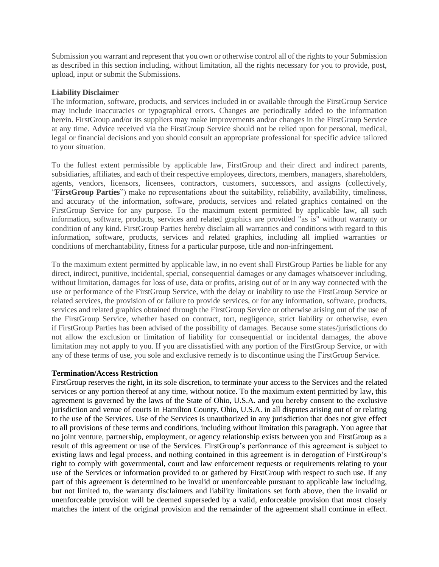Submission you warrant and represent that you own or otherwise control all of the rights to your Submission as described in this section including, without limitation, all the rights necessary for you to provide, post, upload, input or submit the Submissions.

## **Liability Disclaimer**

The information, software, products, and services included in or available through the FirstGroup Service may include inaccuracies or typographical errors. Changes are periodically added to the information herein. FirstGroup and/or its suppliers may make improvements and/or changes in the FirstGroup Service at any time. Advice received via the FirstGroup Service should not be relied upon for personal, medical, legal or financial decisions and you should consult an appropriate professional for specific advice tailored to your situation.

To the fullest extent permissible by applicable law, FirstGroup and their direct and indirect parents, subsidiaries, affiliates, and each of their respective employees, directors, members, managers, shareholders, agents, vendors, licensors, licensees, contractors, customers, successors, and assigns (collectively, "**FirstGroup Parties**") make no representations about the suitability, reliability, availability, timeliness, and accuracy of the information, software, products, services and related graphics contained on the FirstGroup Service for any purpose. To the maximum extent permitted by applicable law, all such information, software, products, services and related graphics are provided "as is" without warranty or condition of any kind. FirstGroup Parties hereby disclaim all warranties and conditions with regard to this information, software, products, services and related graphics, including all implied warranties or conditions of merchantability, fitness for a particular purpose, title and non-infringement.

To the maximum extent permitted by applicable law, in no event shall FirstGroup Parties be liable for any direct, indirect, punitive, incidental, special, consequential damages or any damages whatsoever including, without limitation, damages for loss of use, data or profits, arising out of or in any way connected with the use or performance of the FirstGroup Service, with the delay or inability to use the FirstGroup Service or related services, the provision of or failure to provide services, or for any information, software, products, services and related graphics obtained through the FirstGroup Service or otherwise arising out of the use of the FirstGroup Service, whether based on contract, tort, negligence, strict liability or otherwise, even if FirstGroup Parties has been advised of the possibility of damages. Because some states/jurisdictions do not allow the exclusion or limitation of liability for consequential or incidental damages, the above limitation may not apply to you. If you are dissatisfied with any portion of the FirstGroup Service, or with any of these terms of use, you sole and exclusive remedy is to discontinue using the FirstGroup Service.

#### **Termination/Access Restriction**

FirstGroup reserves the right, in its sole discretion, to terminate your access to the Services and the related services or any portion thereof at any time, without notice. To the maximum extent permitted by law, this agreement is governed by the laws of the State of Ohio, U.S.A. and you hereby consent to the exclusive jurisdiction and venue of courts in Hamilton County, Ohio, U.S.A. in all disputes arising out of or relating to the use of the Services. Use of the Services is unauthorized in any jurisdiction that does not give effect to all provisions of these terms and conditions, including without limitation this paragraph. You agree that no joint venture, partnership, employment, or agency relationship exists between you and FirstGroup as a result of this agreement or use of the Services. FirstGroup's performance of this agreement is subject to existing laws and legal process, and nothing contained in this agreement is in derogation of FirstGroup's right to comply with governmental, court and law enforcement requests or requirements relating to your use of the Services or information provided to or gathered by FirstGroup with respect to such use. If any part of this agreement is determined to be invalid or unenforceable pursuant to applicable law including, but not limited to, the warranty disclaimers and liability limitations set forth above, then the invalid or unenforceable provision will be deemed superseded by a valid, enforceable provision that most closely matches the intent of the original provision and the remainder of the agreement shall continue in effect.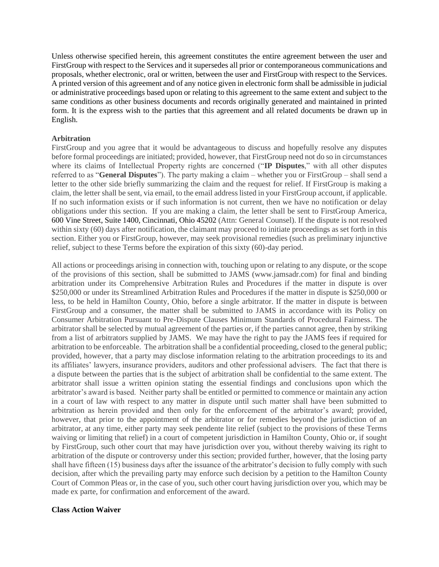Unless otherwise specified herein, this agreement constitutes the entire agreement between the user and FirstGroup with respect to the Services and it supersedes all prior or contemporaneous communications and proposals, whether electronic, oral or written, between the user and FirstGroup with respect to the Services. A printed version of this agreement and of any notice given in electronic form shall be admissible in judicial or administrative proceedings based upon or relating to this agreement to the same extent and subject to the same conditions as other business documents and records originally generated and maintained in printed form. It is the express wish to the parties that this agreement and all related documents be drawn up in English.

# **Arbitration**

FirstGroup and you agree that it would be advantageous to discuss and hopefully resolve any disputes before formal proceedings are initiated; provided, however, that FirstGroup need not do so in circumstances where its claims of Intellectual Property rights are concerned ("**IP Disputes**," with all other disputes referred to as "**General Disputes**"). The party making a claim – whether you or FirstGroup – shall send a letter to the other side briefly summarizing the claim and the request for relief. If FirstGroup is making a claim, the letter shall be sent, via email, to the email address listed in your FirstGroup account, if applicable. If no such information exists or if such information is not current, then we have no notification or delay obligations under this section. If you are making a claim, the letter shall be sent to FirstGroup America, 600 Vine Street, Suite 1400, Cincinnati, Ohio 45202 (Attn: General Counsel). If the dispute is not resolved within sixty (60) days after notification, the claimant may proceed to initiate proceedings as set forth in this section. Either you or FirstGroup, however, may seek provisional remedies (such as preliminary injunctive relief, subject to these Terms before the expiration of this sixty (60)-day period.

All actions or proceedings arising in connection with, touching upon or relating to any dispute, or the scope of the provisions of this section, shall be submitted to JAMS (www.jamsadr.com) for final and binding arbitration under its Comprehensive Arbitration Rules and Procedures if the matter in dispute is over \$250,000 or under its Streamlined Arbitration Rules and Procedures if the matter in dispute is \$250,000 or less, to be held in Hamilton County, Ohio, before a single arbitrator. If the matter in dispute is between FirstGroup and a consumer, the matter shall be submitted to JAMS in accordance with its Policy on Consumer Arbitration Pursuant to Pre-Dispute Clauses Minimum Standards of Procedural Fairness. The arbitrator shall be selected by mutual agreement of the parties or, if the parties cannot agree, then by striking from a list of arbitrators supplied by JAMS. We may have the right to pay the JAMS fees if required for arbitration to be enforceable. The arbitration shall be a confidential proceeding, closed to the general public; provided, however, that a party may disclose information relating to the arbitration proceedings to its and its affiliates' lawyers, insurance providers, auditors and other professional advisers. The fact that there is a dispute between the parties that is the subject of arbitration shall be confidential to the same extent. The arbitrator shall issue a written opinion stating the essential findings and conclusions upon which the arbitrator's award is based. Neither party shall be entitled or permitted to commence or maintain any action in a court of law with respect to any matter in dispute until such matter shall have been submitted to arbitration as herein provided and then only for the enforcement of the arbitrator's award; provided, however, that prior to the appointment of the arbitrator or for remedies beyond the jurisdiction of an arbitrator, at any time, either party may seek pendente lite relief (subject to the provisions of these Terms waiving or limiting that relief) in a court of competent jurisdiction in Hamilton County, Ohio or, if sought by FirstGroup, such other court that may have jurisdiction over you, without thereby waiving its right to arbitration of the dispute or controversy under this section; provided further, however, that the losing party shall have fifteen (15) business days after the issuance of the arbitrator's decision to fully comply with such decision, after which the prevailing party may enforce such decision by a petition to the Hamilton County Court of Common Pleas or, in the case of you, such other court having jurisdiction over you, which may be made ex parte, for confirmation and enforcement of the award.

# **Class Action Waiver**